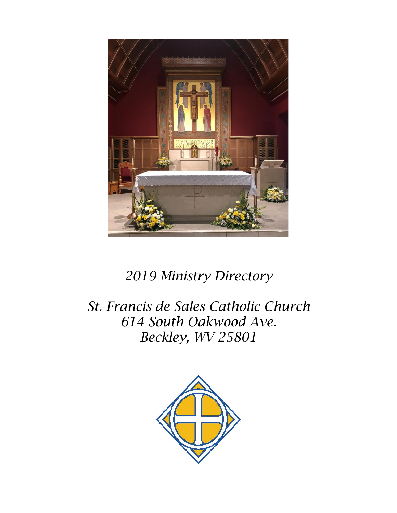

## *2019 Ministry Directory*

*St. Francis de Sales Catholic Church 614 South Oakwood Ave. Beckley, WV 25801*

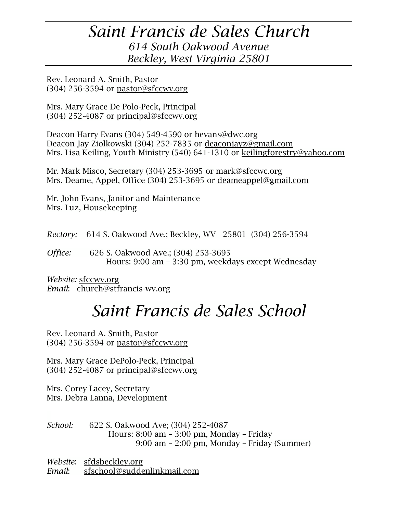## *Saint Francis de Sales Church 614 South Oakwood Avenue Beckley, West Virginia 25801*

Rev. Leonard A. Smith, Pastor  $(304)$  256-3594 or [pastor@sfccwv.org](mailto:pastor@sfccwv.org)

Mrs. Mary Grace De Polo-Peck, Principal  $(304)$  252-4087 or [principal@sfccwv.org](mailto:principal@sfccwv.org)

Deacon Harry Evans (304) 549-4590 or hevans@dwc.org Deacon Jay Ziolkowski (304) 252-7835 or [deaconjayz@gmail.com](mailto:deaconjayz@gmail.com) Mrs. Lisa Keiling, Youth Ministry (540) 641-1310 or keilingforestry@yahoo.com

Mr. Mark Misco, Secretary (304) 253-3695 or [mark@sfccwc.org](mailto:mark@sfccwc.org) Mrs. Deame, Appel, Office (304) 253-3695 or [deameappel@gmail.com](mailto:deameappel@gmail.com)

Mr. John Evans, Janitor and Maintenance Mrs. Luz, Housekeeping

*Rectory:* 614 S. Oakwood Ave.; Beckley, WV 25801 (304) 256-3594

*Office:* 626 S. Oakwood Ave.; (304) 253-3695 Hours: 9:00 am – 3:30 pm, weekdays except Wednesday

*Website:* [sfccwv.org](http://sfccwv.org/) *Email*: church@stfrancis-wv.org

# *Saint Francis de Sales School*

Rev. Leonard A. Smith, Pastor  $(304)$  256-3594 or [pastor@sfccwv.org](mailto:pastor@sfccwv.org)

Mrs. Mary Grace DePolo-Peck, Principal  $(304)$  252-4087 or [principal@sfccwv.org](mailto:principal@sfccwv.org)

Mrs. Corey Lacey, Secretary Mrs. Debra Lanna, Development

*School:* 622 S. Oakwood Ave; (304) 252-4087 Hours: 8:00 am – 3:00 pm, Monday – Friday 9:00 am – 2:00 pm, Monday – Friday (Summer)

*Website*: sfdsbeckley.org *Email*: [sfschool@suddenlinkmail.com](mailto:sfschool@suddenlinkmail.com)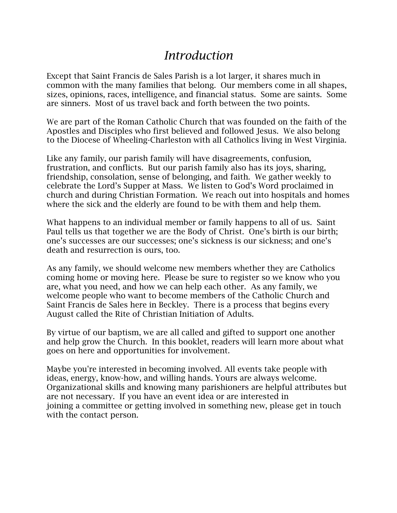## *Introduction*

Except that Saint Francis de Sales Parish is a lot larger, it shares much in common with the many families that belong. Our members come in all shapes, sizes, opinions, races, intelligence, and financial status. Some are saints. Some are sinners. Most of us travel back and forth between the two points.

We are part of the Roman Catholic Church that was founded on the faith of the Apostles and Disciples who first believed and followed Jesus. We also belong to the Diocese of Wheeling-Charleston with all Catholics living in West Virginia.

Like any family, our parish family will have disagreements, confusion, frustration, and conflicts. But our parish family also has its joys, sharing, friendship, consolation, sense of belonging, and faith. We gather weekly to celebrate the Lord's Supper at Mass. We listen to God's Word proclaimed in church and during Christian Formation. We reach out into hospitals and homes where the sick and the elderly are found to be with them and help them.

What happens to an individual member or family happens to all of us. Saint Paul tells us that together we are the Body of Christ. One's birth is our birth; one's successes are our successes; one's sickness is our sickness; and one's death and resurrection is ours, too.

As any family, we should welcome new members whether they are Catholics coming home or moving here. Please be sure to register so we know who you are, what you need, and how we can help each other. As any family, we welcome people who want to become members of the Catholic Church and Saint Francis de Sales here in Beckley. There is a process that begins every August called the Rite of Christian Initiation of Adults.

By virtue of our baptism, we are all called and gifted to support one another and help grow the Church. In this booklet, readers will learn more about what goes on here and opportunities for involvement.

Maybe you're interested in becoming involved. All events take people with ideas, energy, know-how, and willing hands. Yours are always welcome. Organizational skills and knowing many parishioners are helpful attributes but are not necessary. If you have an event idea or are interested in joining a committee or getting involved in something new, please get in touch with the contact person.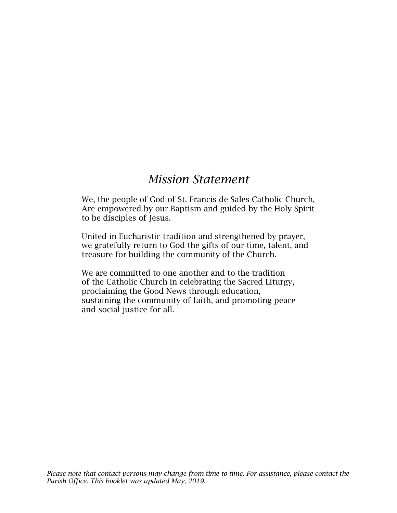## *Mission Statement*

We, the people of God of St. Francis de Sales Catholic Church, Are empowered by our Baptism and guided by the Holy Spirit to be disciples of Jesus.

United in Eucharistic tradition and strengthened by prayer, we gratefully return to God the gifts of our time, talent, and treasure for building the community of the Church.

We are committed to one another and to the tradition of the Catholic Church in celebrating the Sacred Liturgy, proclaiming the Good News through education, sustaining the community of faith, and promoting peace and social justice for all.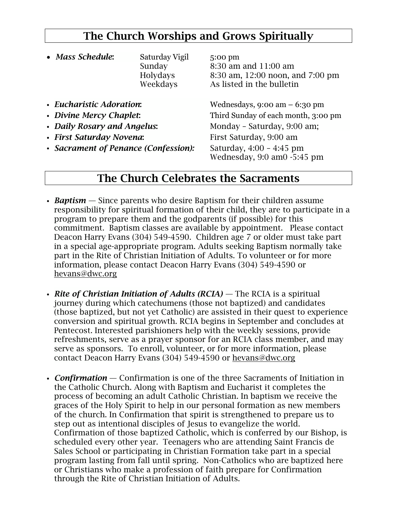## The Church Worships and Grows Spiritually

| • Mass Schedule:            | Saturday Vigil<br>Sunday<br>Holydays<br>Weekdays | 5:00 pm<br>8:30 am and 11:00 am<br>8:30 am, 12:00 noon, and 7:00 pm<br>As listed in the bulletin |
|-----------------------------|--------------------------------------------------|--------------------------------------------------------------------------------------------------|
| • Eucharistic Adoration:    |                                                  | Wednesdays, $9:00 \text{ am} - 6:30 \text{ pm}$                                                  |
| • Divine Mercy Chaplet:     |                                                  | Third Sunday of each month, 3:00 pm                                                              |
| • Daily Rosary and Angelus: |                                                  | Monday - Saturday, 9:00 am;                                                                      |
| • First Saturday Novena:    |                                                  | First Saturday, 9:00 am                                                                          |
|                             |                                                  |                                                                                                  |

• *Sacrament of Penance (Confession):* Saturday, 4:00 – 4:45 pm

Wednesday, 9:0 am0 -5:45 pm

#### The Church Celebrates the Sacraments

- *Baptism* Since parents who desire Baptism for their children assume responsibility for spiritual formation of their child, they are to participate in a program to prepare them and the godparents (if possible) for this commitment. Baptism classes are available by appointment. Please contact Deacon Harry Evans (304) 549-4590. Children age 7 or older must take part in a special age-appropriate program. Adults seeking Baptism normally take part in the Rite of Christian Initiation of Adults. To volunteer or for more information, please contact Deacon Harry Evans (304) 549-4590 or [hevans@dwc.org](mailto:hevans@dwc.org)
- *Rite of Christian Initiation of Adults (RCIA) —* The RCIA is a spiritual journey during which catechumens (those not baptized) and candidates (those baptized, but not yet Catholic) are assisted in their quest to experience conversion and spiritual growth. RCIA begins in September and concludes at Pentecost. Interested parishioners help with the weekly sessions, provide refreshments, serve as a prayer sponsor for an RCIA class member, and may serve as sponsors. To enroll, volunteer, or for more information, please contact Deacon Harry Evans (304) 549-4590 or [hevans@dwc.org](mailto:hevans@dwc.org)
- *Confirmation* Confirmation is one of the three Sacraments of Initiation in the Catholic Church. Along with Baptism and Eucharist it completes the process of becoming an adult Catholic Christian. In baptism we receive the graces of the Holy Spirit to help in our personal formation as new members of the church. In Confirmation that spirit is strengthened to prepare us to step out as intentional disciples of Jesus to evangelize the world. Confirmation of those baptized Catholic, which is conferred by our Bishop, is scheduled every other year. Teenagers who are attending Saint Francis de Sales School or participating in Christian Formation take part in a special program lasting from fall until spring. Non-Catholics who are baptized here or Christians who make a profession of faith prepare for Confirmation through the Rite of Christian Initiation of Adults.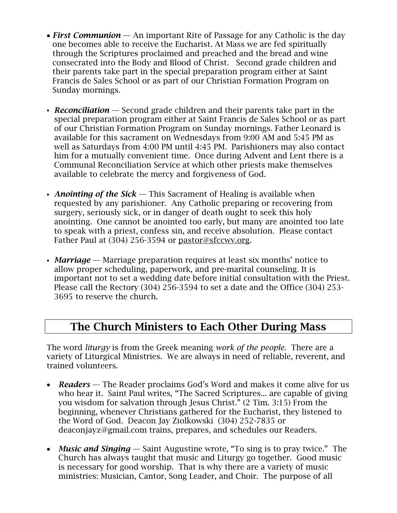- *First Communion* An important Rite of Passage for any Catholic is the day one becomes able to receive the Eucharist. At Mass we are fed spiritually through the Scriptures proclaimed and preached and the bread and wine consecrated into the Body and Blood of Christ. Second grade children and their parents take part in the special preparation program either at Saint Francis de Sales School or as part of our Christian Formation Program on Sunday mornings.
- *Reconciliation* Second grade children and their parents take part in the special preparation program either at Saint Francis de Sales School or as part of our Christian Formation Program on Sunday mornings. Father Leonard is available for this sacrament on Wednesdays from 9:00 AM and 5:45 PM as well as Saturdays from 4:00 PM until 4:45 PM. Parishioners may also contact him for a mutually convenient time. Once during Advent and Lent there is a Communal Reconciliation Service at which other priests make themselves available to celebrate the mercy and forgiveness of God.
- *Anointing of the Sick* This Sacrament of Healing is available when requested by any parishioner. Any Catholic preparing or recovering from surgery, seriously sick, or in danger of death ought to seek this holy anointing. One cannot be anointed too early, but many are anointed too late to speak with a priest, confess sin, and receive absolution. Please contact Father Paul at (304) 256-3594 or [pastor@sfccwv.org.](mailto:pastor@sfccwv.org)
- *Marriage* Marriage preparation requires at least six months' notice to allow proper scheduling, paperwork, and pre-marital counseling. It is important not to set a wedding date before initial consultation with the Priest. Please call the Rectory (304) 256-3594 to set a date and the Office (304) 253- 3695 to reserve the church.

## The Church Ministers to Each Other During Mass

The word *liturgy* is from the Greek meaning *work of the people*. There are a variety of Liturgical Ministries. We are always in need of reliable, reverent, and trained volunteers.

- *Readers* The Reader proclaims God's Word and makes it come alive for us who hear it. Saint Paul writes, "The Sacred Scriptures... are capable of giving you wisdom for salvation through Jesus Christ." (2 Tim. 3:15) From the beginning, whenever Christians gathered for the Eucharist, they listened to the Word of God. Deacon Jay Ziolkowski (304) 252-7835 or deaconjayz@gmail.com trains, prepares, and schedules our Readers.
- *Music and Singing* Saint Augustine wrote, "To sing is to pray twice." The Church has always taught that music and Liturgy go together. Good music is necessary for good worship. That is why there are a variety of music ministries: Musician, Cantor, Song Leader, and Choir. The purpose of all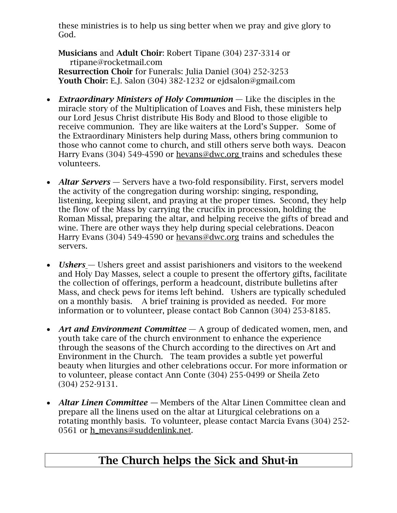these ministries is to help us sing better when we pray and give glory to God.

Musicians and Adult Choir: Robert Tipane (304) 237-3314 or rtipane@rocketmail.com Resurrection Choir for Funerals: Julia Daniel (304) 252-3253 Youth Choir: E.J. Salon (304) 382-1232 or [ejdsalon@gmail.com](mailto:ejdsalon@gmail.com)

- *Extraordinary Ministers of Holy Communion* Like the disciples in the miracle story of the Multiplication of Loaves and Fish, these ministers help our Lord Jesus Christ distribute His Body and Blood to those eligible to receive communion. They are like waiters at the Lord's Supper. Some of the Extraordinary Ministers help during Mass, others bring communion to those who cannot come to church, and still others serve both ways. Deacon Harry Evans (304) 549-4590 or [hevans@dwc.org](mailto:hevans@dwc.org) trains and schedules these volunteers.
- *Altar Servers* Servers have a two-fold responsibility. First, servers model the activity of the congregation during worship: singing, responding, listening, keeping silent, and praying at the proper times. Second, they help the flow of the Mass by carrying the crucifix in procession, holding the Roman Missal, preparing the altar, and helping receive the gifts of bread and wine. There are other ways they help during special celebrations. Deacon Harry Evans (304) 549-4590 or [hevans@dwc.org](mailto:hevans@dwc.org) trains and schedules the servers.
- *Ushers* Ushers greet and assist parishioners and visitors to the weekend and Holy Day Masses, select a couple to present the offertory gifts, facilitate the collection of offerings, perform a headcount, distribute bulletins after Mass, and check pews for items left behind. Ushers are typically scheduled on a monthly basis. A brief training is provided as needed. For more information or to volunteer, please contact Bob Cannon (304) 253-8185.
- *Art and Environment Committee* A group of dedicated women, men, and youth take care of the church environment to enhance the experience through the seasons of the Church according to the directives on Art and Environment in the Church. The team provides a subtle yet powerful beauty when liturgies and other celebrations occur. For more information or to volunteer, please contact Ann Conte (304) 255-0499 or Sheila Zeto (304) 252-9131.
- *Altar Linen Committee* Members of the Altar Linen Committee clean and prepare all the linens used on the altar at Liturgical celebrations on a rotating monthly basis. To volunteer, please contact Marcia Evans (304) 252- 0561 or [h\\_mevans@suddenlink.net.](mailto:h_mevans@suddenlink.net)

## The Church helps the Sick and Shut-in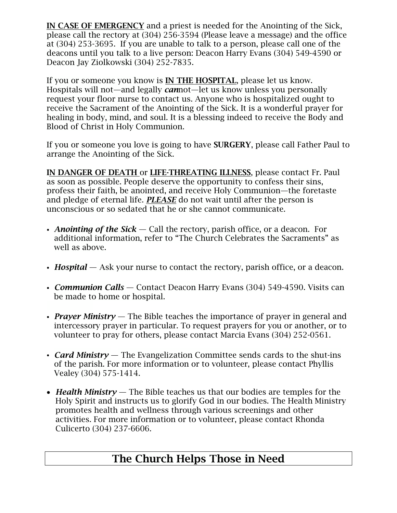IN CASE OF EMERGENCY and a priest is needed for the Anointing of the Sick, please call the rectory at (304) 256-3594 (Please leave a message) and the office at (304) 253-3695. If you are unable to talk to a person, please call one of the deacons until you talk to a live person: Deacon Harry Evans (304) 549-4590 or Deacon Jay Ziolkowski (304) 252-7835.

If you or someone you know is **IN THE HOSPITAL**, please let us know. Hospitals will not—and legally *can*not—let us know unless you personally request your floor nurse to contact us. Anyone who is hospitalized ought to receive the Sacrament of the Anointing of the Sick. It is a wonderful prayer for healing in body, mind, and soul. It is a blessing indeed to receive the Body and Blood of Christ in Holy Communion.

If you or someone you love is going to have SURGERY, please call Father Paul to arrange the Anointing of the Sick.

IN DANGER OF DEATH or LIFE-THREATING ILLNESS, please contact Fr. Paul as soon as possible. People deserve the opportunity to confess their sins, profess their faith, be anointed, and receive Holy Communion—the foretaste and pledge of eternal life. *PLEASE* do not wait until after the person is unconscious or so sedated that he or she cannot communicate.

- *Anointing of the Sick* Call the rectory, parish office, or a deacon. For additional information, refer to "The Church Celebrates the Sacraments" as well as above.
- *Hospital* Ask your nurse to contact the rectory, parish office, or a deacon.
- *Communion Calls* Contact Deacon Harry Evans (304) 549-4590. Visits can be made to home or hospital.
- *Prayer Ministry* The Bible teaches the importance of prayer in general and intercessory prayer in particular. To request prayers for you or another, or to volunteer to pray for others, please contact Marcia Evans (304) 252-0561.
- *Card Ministry* The Evangelization Committee sends cards to the shut-ins of the parish. For more information or to volunteer, please contact Phyllis Vealey (304) 575-1414.
- *Health Ministry* The Bible teaches us that our bodies are temples for the Holy Spirit and instructs us to glorify God in our bodies. The Health Ministry promotes health and wellness through various screenings and other activities. For more information or to volunteer, please contact Rhonda Culicerto (304) 237-6606.

## The Church Helps Those in Need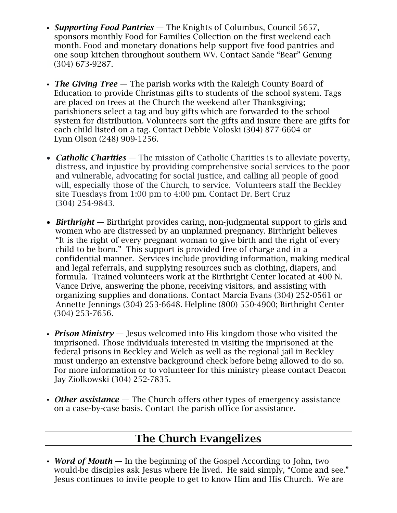- *Supporting Food Pantries* The Knights of Columbus, Council 5657, sponsors monthly Food for Families Collection on the first weekend each month. Food and monetary donations help support five food pantries and one soup kitchen throughout southern WV. Contact Sande "Bear" Genung (304) 673-9287.
- *The Giving Tree* The parish works with the Raleigh County Board of Education to provide Christmas gifts to students of the school system. Tags are placed on trees at the Church the weekend after Thanksgiving; parishioners select a tag and buy gifts which are forwarded to the school system for distribution. Volunteers sort the gifts and insure there are gifts for each child listed on a tag. Contact Debbie Voloski (304) 877-6604 or Lynn Olson (248) 909-1256.
- *Catholic Charities* The mission of Catholic Charities is to alleviate poverty, distress, and injustice by providing comprehensive social services to the poor and vulnerable, advocating for social justice, and calling all people of good will, especially those of the Church, to service. Volunteers staff the Beckley site Tuesdays from 1:00 pm to 4:00 pm. Contact Dr. Bert Cruz (304) 254-9843.
- *Birthright* Birthright provides caring, non-judgmental support to girls and women who are distressed by an unplanned pregnancy. Birthright believes "It is the right of every pregnant woman to give birth and the right of every child to be born." This support is provided free of charge and in a confidential manner. Services include providing information, making medical and legal referrals, and supplying resources such as clothing, diapers, and formula. Trained volunteers work at the Birthright Center located at 400 N. Vance Drive, answering the phone, receiving visitors, and assisting with organizing supplies and donations. Contact Marcia Evans (304) 252-0561 or Annette Jennings (304) 253-6648. Helpline (800) 550-4900; Birthright Center (304) 253-7656.
- *Prison Ministry* Jesus welcomed into His kingdom those who visited the imprisoned. Those individuals interested in visiting the imprisoned at the federal prisons in Beckley and Welch as well as the regional jail in Beckley must undergo an extensive background check before being allowed to do so. For more information or to volunteer for this ministry please contact Deacon Jay Ziolkowski (304) 252-7835.
- *Other assistance* The Church offers other types of emergency assistance on a case-by-case basis. Contact the parish office for assistance.

#### The Church Evangelizes

• *Word of Mouth* — In the beginning of the Gospel According to John, two would-be disciples ask Jesus where He lived. He said simply, "Come and see." Jesus continues to invite people to get to know Him and His Church. We are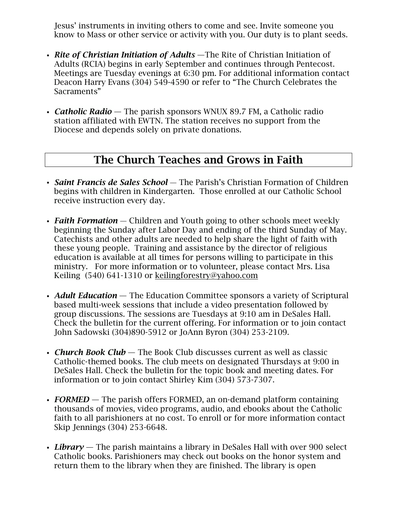Jesus' instruments in inviting others to come and see. Invite someone you know to Mass or other service or activity with you. Our duty is to plant seeds.

- *Rite of Christian Initiation of Adults* —The Rite of Christian Initiation of Adults (RCIA) begins in early September and continues through Pentecost. Meetings are Tuesday evenings at 6:30 pm. For additional information contact Deacon Harry Evans (304) 549-4590 or refer to "The Church Celebrates the Sacraments"
- *Catholic Radio* The parish sponsors WNUX 89.7 FM, a Catholic radio station affiliated with EWTN. The station receives no support from the Diocese and depends solely on private donations.

#### The Church Teaches and Grows in Faith

- *Saint Francis de Sales School* The Parish's Christian Formation of Children begins with children in Kindergarten. Those enrolled at our Catholic School receive instruction every day.
- *Faith Formation* Children and Youth going to other schools meet weekly beginning the Sunday after Labor Day and ending of the third Sunday of May. Catechists and other adults are needed to help share the light of faith with these young people. Training and assistance by the director of religious education is available at all times for persons willing to participate in this ministry. For more information or to volunteer, please contact Mrs. Lisa Keiling (540) 641-1310 or [keilingforestry@yahoo.com](mailto:keilingforestry@yahoo.com)
- *Adult Education* The Education Committee sponsors a variety of Scriptural based multi-week sessions that include a video presentation followed by group discussions. The sessions are Tuesdays at 9:10 am in DeSales Hall. Check the bulletin for the current offering. For information or to join contact John Sadowski (304)890-5912 or JoAnn Byron (304) 253-2109.
- *Church Book Club* The Book Club discusses current as well as classic Catholic-themed books. The club meets on designated Thursdays at 9:00 in DeSales Hall. Check the bulletin for the topic book and meeting dates. For information or to join contact Shirley Kim (304) 573-7307.
- **FORMED** The parish offers FORMED, an on-demand platform containing thousands of movies, video programs, audio, and ebooks about the Catholic faith to all parishioners at no cost. To enroll or for more information contact Skip Jennings (304) 253-6648.
- *Library* The parish maintains a library in DeSales Hall with over 900 select Catholic books. Parishioners may check out books on the honor system and return them to the library when they are finished. The library is open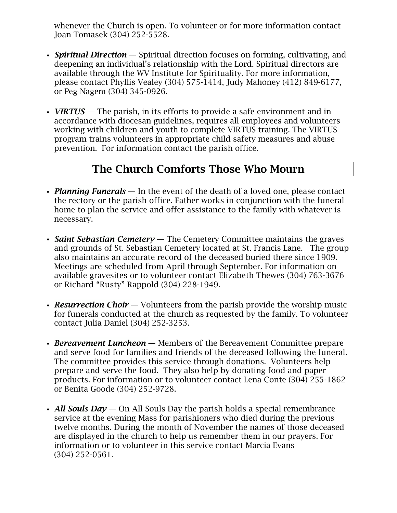whenever the Church is open. To volunteer or for more information contact Joan Tomasek (304) 252-5528.

- *Spiritual Direction* Spiritual direction focuses on forming, cultivating, and deepening an individual's relationship with the Lord. Spiritual directors are available through the WV Institute for Spirituality. For more information, please contact Phyllis Vealey (304) 575-1414, Judy Mahoney (412) 849-6177, or Peg Nagem (304) 345-0926.
- *VIRTUS* The parish, in its efforts to provide a safe environment and in accordance with diocesan guidelines, requires all employees and volunteers working with children and youth to complete VIRTUS training. The VIRTUS program trains volunteers in appropriate child safety measures and abuse prevention. For information contact the parish office.

#### The Church Comforts Those Who Mourn

- *Planning Funerals* In the event of the death of a loved one, please contact the rectory or the parish office. Father works in conjunction with the funeral home to plan the service and offer assistance to the family with whatever is necessary.
- *Saint Sebastian Cemetery* The Cemetery Committee maintains the graves and grounds of St. Sebastian Cemetery located at St. Francis Lane. The group also maintains an accurate record of the deceased buried there since 1909. Meetings are scheduled from April through September. For information on available gravesites or to volunteer contact Elizabeth Thewes (304) 763-3676 or Richard "Rusty" Rappold (304) 228-1949.
- *Resurrection Choir* Volunteers from the parish provide the worship music for funerals conducted at the church as requested by the family. To volunteer contact Julia Daniel (304) 252-3253.
- *Bereavement Luncheon* Members of the Bereavement Committee prepare and serve food for families and friends of the deceased following the funeral. The committee provides this service through donations. Volunteers help prepare and serve the food. They also help by donating food and paper products. For information or to volunteer contact Lena Conte (304) 255-1862 or Benita Goode (304) 252-9728.
- *All Souls Day* On All Souls Day the parish holds a special remembrance service at the evening Mass for parishioners who died during the previous twelve months. During the month of November the names of those deceased are displayed in the church to help us remember them in our prayers. For information or to volunteer in this service contact Marcia Evans (304) 252-0561.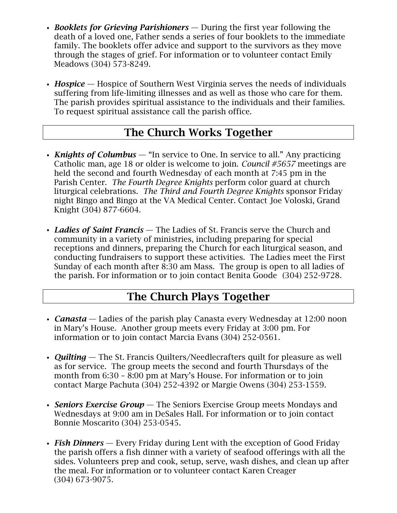- *Booklets for Grieving Parishioners* During the first year following the death of a loved one, Father sends a series of four booklets to the immediate family. The booklets offer advice and support to the survivors as they move through the stages of grief. For information or to volunteer contact Emily Meadows (304) 573-8249.
- *Hospice* Hospice of Southern West Virginia serves the needs of individuals suffering from life-limiting illnesses and as well as those who care for them. The parish provides spiritual assistance to the individuals and their families. To request spiritual assistance call the parish office.

## The Church Works Together

- *Knights of Columbus* "In service to One. In service to all." Any practicing Catholic man, age 18 or older is welcome to join. *Council #5657* meetings are held the second and fourth Wednesday of each month at 7:45 pm in the Parish Center. *The Fourth Degree Knights* perform color guard at church liturgical celebrations. *The Third and Fourth Degree Knights* sponsor Friday night Bingo and Bingo at the VA Medical Center. Contact Joe Voloski, Grand Knight (304) 877-6604.
- *Ladies of Saint Francis* The Ladies of St. Francis serve the Church and community in a variety of ministries, including preparing for special receptions and dinners, preparing the Church for each liturgical season, and conducting fundraisers to support these activities. The Ladies meet the First Sunday of each month after 8:30 am Mass. The group is open to all ladies of the parish. For information or to join contact Benita Goode (304) 252-9728.

## The Church Plays Together

- *Canasta* Ladies of the parish play Canasta every Wednesday at 12:00 noon in Mary's House. Another group meets every Friday at 3:00 pm. For information or to join contact Marcia Evans (304) 252-0561.
- *Quilting* The St. Francis Quilters/Needlecrafters quilt for pleasure as well as for service. The group meets the second and fourth Thursdays of the month from 6:30 – 8:00 pm at Mary's House. For information or to join contact Marge Pachuta (304) 252-4392 or Margie Owens (304) 253-1559.
- *Seniors Exercise Group* The Seniors Exercise Group meets Mondays and Wednesdays at 9:00 am in DeSales Hall. For information or to join contact Bonnie Moscarito (304) 253-0545.
- *Fish Dinners* Every Friday during Lent with the exception of Good Friday the parish offers a fish dinner with a variety of seafood offerings with all the sides. Volunteers prep and cook, setup, serve, wash dishes, and clean up after the meal. For information or to volunteer contact Karen Creager (304) 673-9075.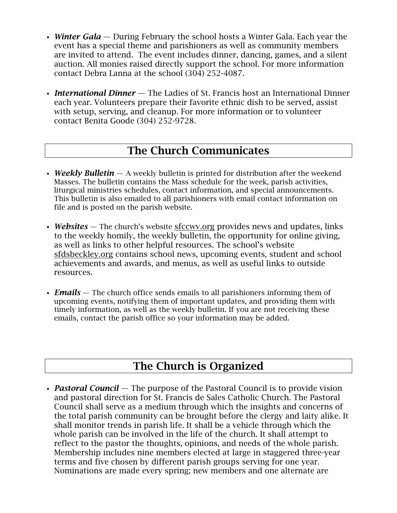- *Winter Gala* During February the school hosts a Winter Gala. Each year the event has a special theme and parishioners as well as community members are invited to attend. The event includes dinner, dancing, games, and a silent auction. All monies raised directly support the school. For more information contact Debra Lanna at the school (304) 252-4087.
- *International Dinner* The Ladies of St. Francis host an International Dinner each year. Volunteers prepare their favorite ethnic dish to be served, assist with setup, serving, and cleanup. For more information or to volunteer contact Benita Goode (304) 252-9728.

#### The Church Communicates

- *Weekly Bulletin* A weekly bulletin is printed for distribution after the weekend Masses. The bulletin contains the Mass schedule for the week, parish activities, liturgical ministries schedules, contact information, and special announcements. This bulletin is also emailed to all parishioners with email contact information on file and is posted on the parish website.
- *Websites* The church's website [sfccwv.org](http://sfccwv.org/) provides news and updates, links to the weekly homily, the weekly bulletin, the opportunity for online giving, as well as links to other helpful resources. The school's website sfdsbeckley.org contains school news, upcoming events, student and school achievements and awards, and menus, as well as useful links to outside resources.
- *Emails* The church office sends emails to all parishioners informing them of upcoming events, notifying them of important updates, and providing them with timely information, as well as the weekly bulletin. If you are not receiving these emails, contact the parish office so your information may be added.

## The Church is Organized

• *Pastoral Council* — The purpose of the Pastoral Council is to provide vision and pastoral direction for St. Francis de Sales Catholic Church. The Pastoral Council shall serve as a medium through which the insights and concerns of the total parish community can be brought before the clergy and laity alike. It shall monitor trends in parish life. It shall be a vehicle through which the whole parish can be involved in the life of the church. It shall attempt to reflect to the pastor the thoughts, opinions, and needs of the whole parish. Membership includes nine members elected at large in staggered three-year terms and five chosen by different parish groups serving for one year. Nominations are made every spring; new members and one alternate are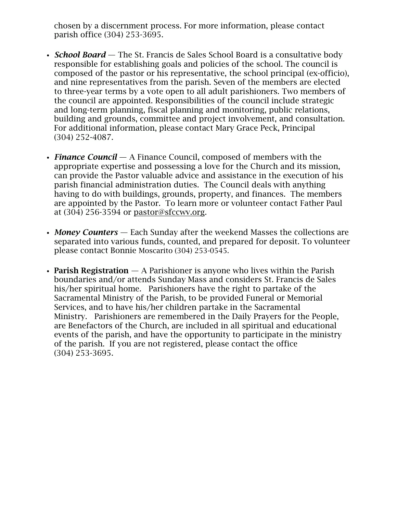chosen by a discernment process. For more information, please contact parish office (304) 253-3695.

- *School Board* The St. Francis de Sales School Board is a consultative body responsible for establishing goals and policies of the school. The council is composed of the pastor or his representative, the school principal (ex-officio), and nine representatives from the parish. Seven of the members are elected to three-year terms by a vote open to all adult parishioners. Two members of the council are appointed. Responsibilities of the council include strategic and long-term planning, fiscal planning and monitoring, public relations, building and grounds, committee and project involvement, and consultation. For additional information, please contact Mary Grace Peck, Principal (304) 252-4087.
- *Finance Council* A Finance Council, composed of members with the appropriate expertise and possessing a love for the Church and its mission, can provide the Pastor valuable advice and assistance in the execution of his parish financial administration duties. The Council deals with anything having to do with buildings, grounds, property, and finances. The members are appointed by the Pastor. To learn more or volunteer contact Father Paul at (304) 256-3594 or [pastor@sfccwv.org.](mailto:pastor@sfccwv.org)
- *Money Counters* Each Sunday after the weekend Masses the collections are separated into various funds, counted, and prepared for deposit. To volunteer please contact Bonnie Moscarito (304) 253-0545.
- Parish Registration  $-$  A Parishioner is anyone who lives within the Parish boundaries and/or attends Sunday Mass and considers St. Francis de Sales his/her spiritual home. Parishioners have the right to partake of the Sacramental Ministry of the Parish, to be provided Funeral or Memorial Services, and to have his/her children partake in the Sacramental Ministry. Parishioners are remembered in the Daily Prayers for the People, are Benefactors of the Church, are included in all spiritual and educational events of the parish, and have the opportunity to participate in the ministry of the parish. If you are not registered, please contact the office (304) 253-3695.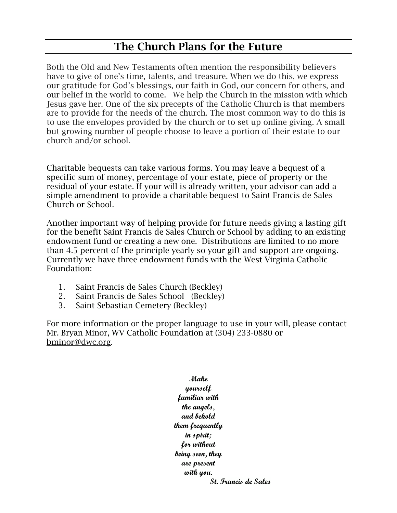## The Church Plans for the Future

Both the Old and New Testaments often mention the responsibility believers have to give of one's time, talents, and treasure. When we do this, we express our gratitude for God's blessings, our faith in God, our concern for others, and our belief in the world to come. We help the Church in the mission with which Jesus gave her. One of the six precepts of the Catholic Church is that members are to provide for the needs of the church. The most common way to do this is to use the envelopes provided by the church or to set up online giving. A small but growing number of people choose to leave a portion of their estate to our church and/or school.

Charitable bequests can take various forms. You may leave a bequest of a specific sum of money, percentage of your estate, piece of property or the residual of your estate. If your will is already written, your advisor can add a simple amendment to provide a charitable bequest to Saint Francis de Sales Church or School.

Another important way of helping provide for future needs giving a lasting gift for the benefit Saint Francis de Sales Church or School by adding to an existing endowment fund or creating a new one. Distributions are limited to no more than 4.5 percent of the principle yearly so your gift and support are ongoing. Currently we have three endowment funds with the West Virginia Catholic Foundation:

- 1. Saint Francis de Sales Church (Beckley)
- 2. Saint Francis de Sales School (Beckley)
- 3. Saint Sebastian Cemetery (Beckley)

For more information or the proper language to use in your will, please contact Mr. Bryan Minor, WV Catholic Foundation at (304) 233-0880 or [bminor@dwc.org.](mailto:bminor@dwc.org)

> **Make yourself familiar with the angels, and behold them frequently in spirit; for without being seen, they are present with you. St. Francis de Sales**